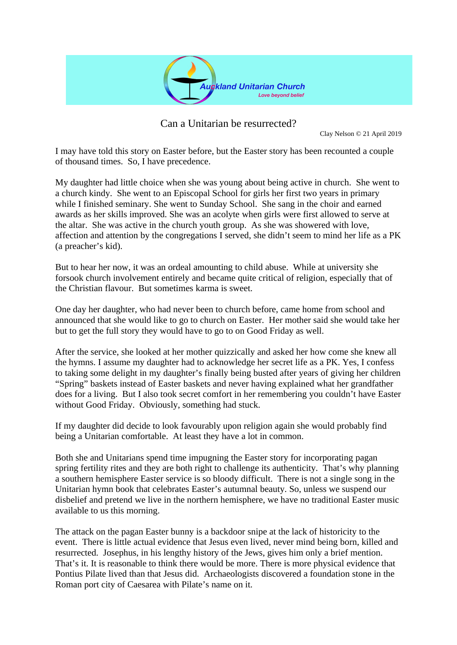

Can a Unitarian be resurrected?

Clay Nelson © 21 April 2019

I may have told this story on Easter before, but the Easter story has been recounted a couple of thousand times. So, I have precedence.

My daughter had little choice when she was young about being active in church. She went to a church kindy. She went to an Episcopal School for girls her first two years in primary while I finished seminary. She went to Sunday School. She sang in the choir and earned awards as her skills improved. She was an acolyte when girls were first allowed to serve at the altar. She was active in the church youth group. As she was showered with love, affection and attention by the congregations I served, she didn't seem to mind her life as a PK (a preacher's kid).

But to hear her now, it was an ordeal amounting to child abuse. While at university she forsook church involvement entirely and became quite critical of religion, especially that of the Christian flavour. But sometimes karma is sweet.

One day her daughter, who had never been to church before, came home from school and announced that she would like to go to church on Easter. Her mother said she would take her but to get the full story they would have to go to on Good Friday as well.

After the service, she looked at her mother quizzically and asked her how come she knew all the hymns. I assume my daughter had to acknowledge her secret life as a PK. Yes, I confess to taking some delight in my daughter's finally being busted after years of giving her children "Spring" baskets instead of Easter baskets and never having explained what her grandfather does for a living. But I also took secret comfort in her remembering you couldn't have Easter without Good Friday. Obviously, something had stuck.

If my daughter did decide to look favourably upon religion again she would probably find being a Unitarian comfortable. At least they have a lot in common.

Both she and Unitarians spend time impugning the Easter story for incorporating pagan spring fertility rites and they are both right to challenge its authenticity. That's why planning a southern hemisphere Easter service is so bloody difficult. There is not a single song in the Unitarian hymn book that celebrates Easter's autumnal beauty. So, unless we suspend our disbelief and pretend we live in the northern hemisphere, we have no traditional Easter music available to us this morning.

The attack on the pagan Easter bunny is a backdoor snipe at the lack of historicity to the event. There is little actual evidence that Jesus even lived, never mind being born, killed and resurrected. Josephus, in his lengthy history of the Jews, gives him only a brief mention. That's it. It is reasonable to think there would be more. There is more physical evidence that Pontius Pilate lived than that Jesus did. Archaeologists discovered a foundation stone in the Roman port city of Caesarea with Pilate's name on it.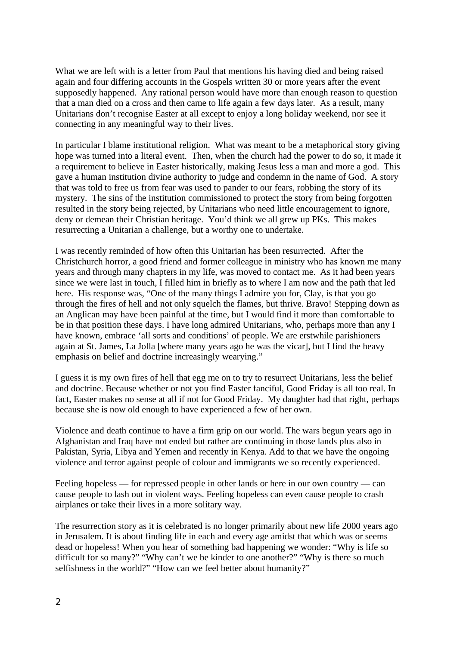What we are left with is a letter from Paul that mentions his having died and being raised again and four differing accounts in the Gospels written 30 or more years after the event supposedly happened. Any rational person would have more than enough reason to question that a man died on a cross and then came to life again a few days later. As a result, many Unitarians don't recognise Easter at all except to enjoy a long holiday weekend, nor see it connecting in any meaningful way to their lives.

In particular I blame institutional religion. What was meant to be a metaphorical story giving hope was turned into a literal event. Then, when the church had the power to do so, it made it a requirement to believe in Easter historically, making Jesus less a man and more a god. This gave a human institution divine authority to judge and condemn in the name of God. A story that was told to free us from fear was used to pander to our fears, robbing the story of its mystery. The sins of the institution commissioned to protect the story from being forgotten resulted in the story being rejected, by Unitarians who need little encouragement to ignore, deny or demean their Christian heritage. You'd think we all grew up PKs. This makes resurrecting a Unitarian a challenge, but a worthy one to undertake.

I was recently reminded of how often this Unitarian has been resurrected. After the Christchurch horror, a good friend and former colleague in ministry who has known me many years and through many chapters in my life, was moved to contact me. As it had been years since we were last in touch, I filled him in briefly as to where I am now and the path that led here. His response was, "One of the many things I admire you for, Clay, is that you go through the fires of hell and not only squelch the flames, but thrive. Bravo! Stepping down as an Anglican may have been painful at the time, but I would find it more than comfortable to be in that position these days. I have long admired Unitarians, who, perhaps more than any I have known, embrace 'all sorts and conditions' of people. We are erstwhile parishioners again at St. James, La Jolla [where many years ago he was the vicar], but I find the heavy emphasis on belief and doctrine increasingly wearying."

I guess it is my own fires of hell that egg me on to try to resurrect Unitarians, less the belief and doctrine. Because whether or not you find Easter fanciful, Good Friday is all too real. In fact, Easter makes no sense at all if not for Good Friday. My daughter had that right, perhaps because she is now old enough to have experienced a few of her own.

Violence and death continue to have a firm grip on our world. The wars begun years ago in Afghanistan and Iraq have not ended but rather are continuing in those lands plus also in Pakistan, Syria, Libya and Yemen and recently in Kenya. Add to that we have the ongoing violence and terror against people of colour and immigrants we so recently experienced.

Feeling hopeless — for repressed people in other lands or here in our own country — can cause people to lash out in violent ways. Feeling hopeless can even cause people to crash airplanes or take their lives in a more solitary way.

The resurrection story as it is celebrated is no longer primarily about new life 2000 years ago in Jerusalem. It is about finding life in each and every age amidst that which was or seems dead or hopeless! When you hear of something bad happening we wonder: "Why is life so difficult for so many?" "Why can't we be kinder to one another?" "Why is there so much selfishness in the world?" "How can we feel better about humanity?"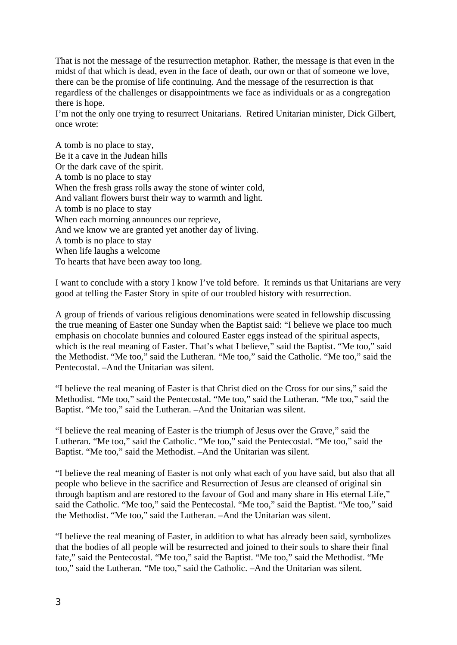That is not the message of the resurrection metaphor. Rather, the message is that even in the midst of that which is dead, even in the face of death, our own or that of someone we love, there can be the promise of life continuing. And the message of the resurrection is that regardless of the challenges or disappointments we face as individuals or as a congregation there is hope.

I'm not the only one trying to resurrect Unitarians. Retired Unitarian minister, Dick Gilbert, once wrote:

A tomb is no place to stay, Be it a cave in the Judean hills Or the dark cave of the spirit. A tomb is no place to stay When the fresh grass rolls away the stone of winter cold, And valiant flowers burst their way to warmth and light. A tomb is no place to stay When each morning announces our reprieve, And we know we are granted yet another day of living. A tomb is no place to stay When life laughs a welcome To hearts that have been away too long.

I want to conclude with a story I know I've told before. It reminds us that Unitarians are very good at telling the Easter Story in spite of our troubled history with resurrection.

A group of friends of various religious denominations were seated in fellowship discussing the true meaning of Easter one Sunday when the Baptist said: "I believe we place too much emphasis on chocolate bunnies and coloured Easter eggs instead of the spiritual aspects, which is the real meaning of Easter. That's what I believe," said the Baptist. "Me too," said the Methodist. "Me too," said the Lutheran. "Me too," said the Catholic. "Me too," said the Pentecostal. –And the Unitarian was silent.

"I believe the real meaning of Easter is that Christ died on the Cross for our sins," said the Methodist. "Me too," said the Pentecostal. "Me too," said the Lutheran. "Me too," said the Baptist. "Me too," said the Lutheran. –And the Unitarian was silent.

"I believe the real meaning of Easter is the triumph of Jesus over the Grave," said the Lutheran. "Me too," said the Catholic. "Me too," said the Pentecostal. "Me too," said the Baptist. "Me too," said the Methodist. –And the Unitarian was silent.

"I believe the real meaning of Easter is not only what each of you have said, but also that all people who believe in the sacrifice and Resurrection of Jesus are cleansed of original sin through baptism and are restored to the favour of God and many share in His eternal Life," said the Catholic. "Me too," said the Pentecostal. "Me too," said the Baptist. "Me too," said the Methodist. "Me too," said the Lutheran. –And the Unitarian was silent.

"I believe the real meaning of Easter, in addition to what has already been said, symbolizes that the bodies of all people will be resurrected and joined to their souls to share their final fate," said the Pentecostal. "Me too," said the Baptist. "Me too," said the Methodist. "Me too," said the Lutheran. "Me too," said the Catholic. –And the Unitarian was silent.